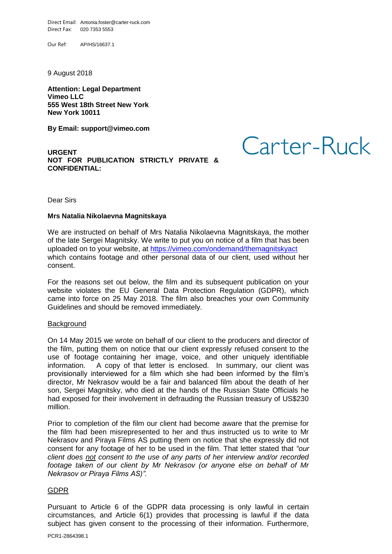Direct Email: Antonia.foster@carter-ruck.com Direct Fax: 020 7353 5553

Our Ref: AP/HS/16637.1

9 August 2018

**Attention: Legal Department Vimeo LLC 555 West 18th Street New York New York 10011**

**By Email: support@vimeo.com**

**URGENT NOT FOR PUBLICATION STRICTLY PRIVATE & CONFIDENTIAL:** 

Carter-Ruck

Dear Sirs

## **Mrs Natalia Nikolaevna Magnitskaya**

We are instructed on behalf of Mrs Natalia Nikolaevna Magnitskaya, the mother of the late Sergei Magnitsky. We write to put you on notice of a film that has been uploaded on to your website, at<https://vimeo.com/ondemand/themagnitskyact> which contains footage and other personal data of our client, used without her consent.

For the reasons set out below, the film and its subsequent publication on your website violates the EU General Data Protection Regulation (GDPR), which came into force on 25 May 2018. The film also breaches your own Community Guidelines and should be removed immediately.

## **Background**

On 14 May 2015 we wrote on behalf of our client to the producers and director of the film, putting them on notice that our client expressly refused consent to the use of footage containing her image, voice, and other uniquely identifiable information. A copy of that letter is enclosed. In summary, our client was provisionally interviewed for a film which she had been informed by the film's director, Mr Nekrasov would be a fair and balanced film about the death of her son, Sergei Magnitsky, who died at the hands of the Russian State Officials he had exposed for their involvement in defrauding the Russian treasury of US\$230 million.

Prior to completion of the film our client had become aware that the premise for the film had been misrepresented to her and thus instructed us to write to Mr Nekrasov and Piraya Films AS putting them on notice that she expressly did not consent for any footage of her to be used in the film. That letter stated that *"our client does not consent to the use of any parts of her interview and/or recorded footage taken of our client by Mr Nekrasov (or anyone else on behalf of Mr Nekrasov or Piraya Films AS)".*

## GDPR

Pursuant to Article 6 of the GDPR data processing is only lawful in certain circumstances, and Article 6(1) provides that processing is lawful if the data subject has given consent to the processing of their information. Furthermore,